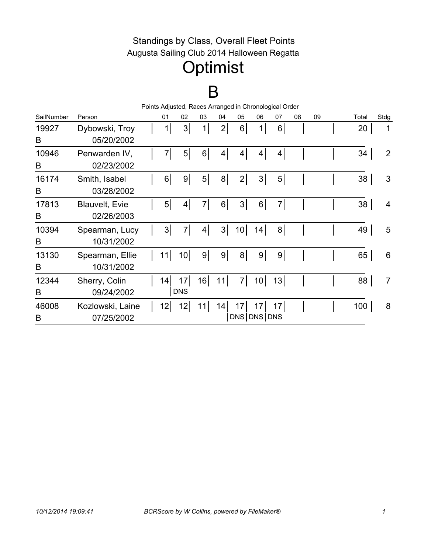#### Standings by Class, Overall Fleet Points Augusta Sailing Club 2014 Halloween Regatta

## **Optimist**

### B

| Points Adjusted, Races Arranged in Chronological Order |                       |  |                |                 |                |                |                 |                 |                 |    |    |  |       |                |
|--------------------------------------------------------|-----------------------|--|----------------|-----------------|----------------|----------------|-----------------|-----------------|-----------------|----|----|--|-------|----------------|
| SailNumber                                             | Person                |  | 01             | 02              | 03             | 04             | 05              | 06              | 07              | 08 | 09 |  | Total | <b>Stdg</b>    |
| 19927                                                  | Dybowski, Troy        |  | 1              | 3               | 1              | 2              | 6               | 1               | 6 <sup>1</sup>  |    |    |  | 20    | 1              |
| B                                                      | 05/20/2002            |  |                |                 |                |                |                 |                 |                 |    |    |  |       |                |
| 10946                                                  | Penwarden IV,         |  | $7\vert$       | 5 <sup>1</sup>  | 6 <sup>1</sup> | 4              | 4               | 4               | $\vert 4 \vert$ |    |    |  | 34    | $\overline{2}$ |
| B                                                      | 02/23/2002            |  |                |                 |                |                |                 |                 |                 |    |    |  |       |                |
| 16174                                                  | Smith, Isabel         |  | 6 <sup>1</sup> | 9 <sup>1</sup>  | 5              | 8 <sup>1</sup> | 2               | 3               | 5 <sup>1</sup>  |    |    |  | 38    | 3              |
| B                                                      | 03/28/2002            |  |                |                 |                |                |                 |                 |                 |    |    |  |       |                |
| 17813                                                  | <b>Blauvelt, Evie</b> |  | 5 <sup>1</sup> | $\vert 4 \vert$ | $7\vert$       | 6              | 3               | 6               | 7 <sup>1</sup>  |    |    |  | 38    | $\overline{4}$ |
| B                                                      | 02/26/2003            |  |                |                 |                |                |                 |                 |                 |    |    |  |       |                |
| 10394                                                  | Spearman, Lucy        |  | 3              | $\overline{7}$  | 4              | 3              | 10 <sup>1</sup> | 14              | 8 <sup>1</sup>  |    |    |  | 49    | 5              |
| B                                                      | 10/31/2002            |  |                |                 |                |                |                 |                 |                 |    |    |  |       |                |
| 13130                                                  | Spearman, Ellie       |  | 11             | 10 <sup>1</sup> | 9 <sup>1</sup> | 9              | 8 <sup>1</sup>  | 9 <sup>1</sup>  | 9 <sup>1</sup>  |    |    |  | 65    | 6              |
| B                                                      | 10/31/2002            |  |                |                 |                |                |                 |                 |                 |    |    |  |       |                |
| 12344                                                  | Sherry, Colin         |  | 14             | 17              | 16             | 11             | 7               | 10 <sup>1</sup> | 13              |    |    |  | 88    | $\overline{7}$ |
| B                                                      | 09/24/2002            |  |                | <b>DNS</b>      |                |                |                 |                 |                 |    |    |  |       |                |
| 46008                                                  | Kozlowski, Laine      |  | 12             | 12              | 11             | 14             | 17              | 17              | 17              |    |    |  | 100   | 8              |
| B                                                      | 07/25/2002            |  |                |                 |                |                |                 | DNS DNS DNS     |                 |    |    |  |       |                |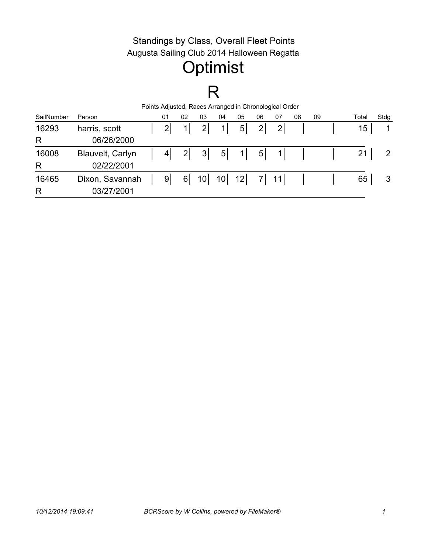#### Standings by Class, Overall Fleet Points Augusta Sailing Club 2014 Halloween Regatta

# **Optimist**

### R

| Points Adjusted, Races Arranged in Chronological Order |                  |  |                |                |                 |                 |                |                |                |    |    |       |      |
|--------------------------------------------------------|------------------|--|----------------|----------------|-----------------|-----------------|----------------|----------------|----------------|----|----|-------|------|
| SailNumber                                             | Person           |  | 01             | 02             | 03              | 04              | 05             | 06             | 07             | 08 | 09 | Total | Stdg |
| 16293                                                  | harris, scott    |  | $\overline{2}$ |                | 2               | 1               | 5 <sub>l</sub> | 2 <sub>1</sub> | 2 <sub>l</sub> |    |    | 15    |      |
| R                                                      | 06/26/2000       |  |                |                |                 |                 |                |                |                |    |    |       |      |
| 16008                                                  | Blauvelt, Carlyn |  | $\overline{4}$ | $\overline{2}$ | 3               | 5 <sup>1</sup>  | 11             | 5 <sup>1</sup> | 1 <sup>1</sup> |    |    | 21    |      |
| R                                                      | 02/22/2001       |  |                |                |                 |                 |                |                |                |    |    |       |      |
| 16465                                                  | Dixon, Savannah  |  | 9 <sub>l</sub> | 6              | 10 <sup>1</sup> | 10 <sup>1</sup> | 12             |                | 7 11           |    |    | 65    | 3    |
| R                                                      | 03/27/2001       |  |                |                |                 |                 |                |                |                |    |    |       |      |